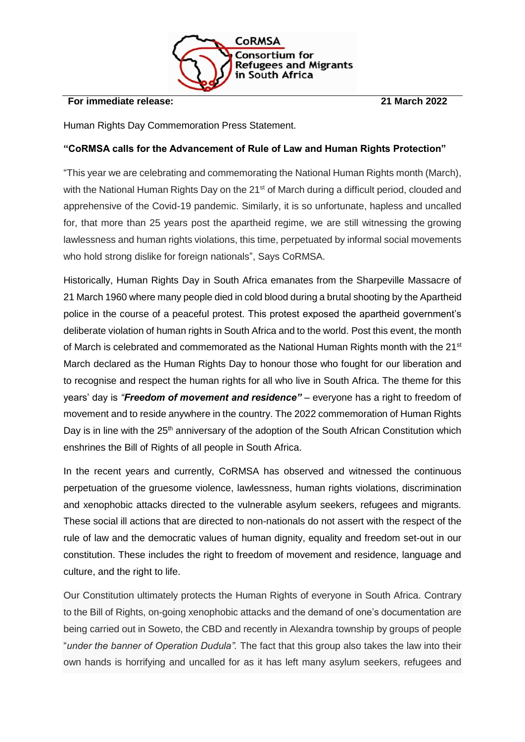

## **For immediate release: 21 March 2022**

Human Rights Day Commemoration Press Statement.

## **"CoRMSA calls for the Advancement of Rule of Law and Human Rights Protection"**

"This year we are celebrating and commemorating the National Human Rights month (March), with the National Human Rights Day on the 21<sup>st</sup> of March during a difficult period, clouded and apprehensive of the Covid-19 pandemic. Similarly, it is so unfortunate, hapless and uncalled for, that more than 25 years post the apartheid regime, we are still witnessing the growing lawlessness and human rights violations, this time, perpetuated by informal social movements who hold strong dislike for foreign nationals", Says CoRMSA.

Historically, Human Rights Day in South Africa emanates from the Sharpeville Massacre of 21 March 1960 where many people died in cold blood during a brutal shooting by the Apartheid police in the course of a peaceful protest. This protest exposed the apartheid government's deliberate violation of human rights in South Africa and to the world. Post this event, the month of March is celebrated and commemorated as the National Human Rights month with the 21<sup>st</sup> March declared as the Human Rights Day to honour those who fought for our liberation and to recognise and respect the human rights for all who live in South Africa. The theme for this years' day is *"Freedom of movement and residence"* – everyone has a right to freedom of movement and to reside anywhere in the country. The 2022 commemoration of Human Rights Day is in line with the 25<sup>th</sup> anniversary of the adoption of the South African Constitution which enshrines the Bill of Rights of all people in South Africa.

In the recent years and currently, CoRMSA has observed and witnessed the continuous perpetuation of the gruesome violence, lawlessness, human rights violations, discrimination and xenophobic attacks directed to the vulnerable asylum seekers, refugees and migrants. These social ill actions that are directed to non-nationals do not assert with the respect of the rule of law and the democratic values of human dignity, equality and freedom set-out in our constitution. These includes the right to freedom of movement and residence, language and culture, and the right to life.

Our Constitution ultimately protects the Human Rights of everyone in South Africa. Contrary to the Bill of Rights, on-going xenophobic attacks and the demand of one's documentation are being carried out in Soweto, the CBD and recently in Alexandra township by groups of people "*under the banner of Operation Dudula".* The fact that this group also takes the law into their own hands is horrifying and uncalled for as it has left many asylum seekers, refugees and